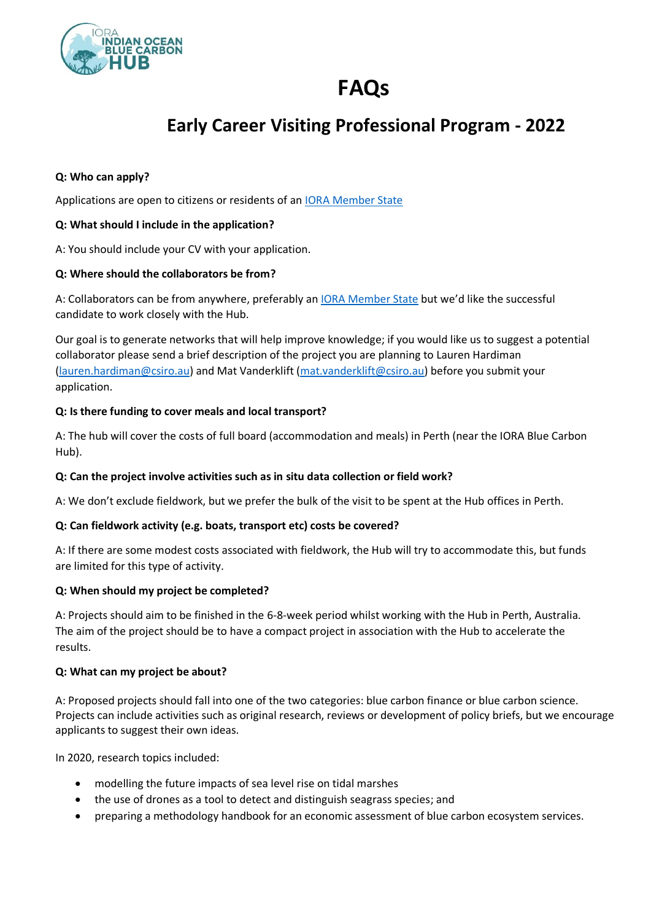

# **FAQs**

# **Early Career Visiting Professional Program - 2022**

#### **Q: Who can apply?**

Applications are open to citizens or residents of an [IORA Member State](https://www.dfat.gov.au/international-relations/regional-architecture/indian-ocean/iora/indian-ocean-rim-association-iora#:~:text=From%20its%20inception%20with%2014,Tanzania%2C%20Thailand%2C%20the%20United%20Arab)

#### **Q: What should I include in the application?**

A: You should include your CV with your application.

#### **Q: Where should the collaborators be from?**

A: Collaborators can be from anywhere, preferably a[n IORA Member State](https://www.dfat.gov.au/international-relations/regional-architecture/indian-ocean/iora/indian-ocean-rim-association-iora#:~:text=From%20its%20inception%20with%2014,Tanzania%2C%20Thailand%2C%20the%20United%20Arab) but we'd like the successful candidate to work closely with the Hub.

Our goal is to generate networks that will help improve knowledge; if you would like us to suggest a potential collaborator please send a brief description of the project you are planning to Lauren Hardiman [\(lauren.hardiman@csiro.au\)](mailto:lauren.hardiman@csiro.au) and Mat Vanderklift [\(mat.vanderklift@csiro.au\)](mailto:mat.vanderklift@csiro.au) before you submit your application.

#### **Q: Is there funding to cover meals and local transport?**

A: The hub will cover the costs of full board (accommodation and meals) in Perth (near the IORA Blue Carbon Hub).

## **Q: Can the project involve activities such as in situ data collection or field work?**

A: We don't exclude fieldwork, but we prefer the bulk of the visit to be spent at the Hub offices in Perth.

## **Q: Can fieldwork activity (e.g. boats, transport etc) costs be covered?**

A: If there are some modest costs associated with fieldwork, the Hub will try to accommodate this, but funds are limited for this type of activity.

#### **Q: When should my project be completed?**

A: Projects should aim to be finished in the 6-8-week period whilst working with the Hub in Perth, Australia. The aim of the project should be to have a compact project in association with the Hub to accelerate the results.

#### **Q: What can my project be about?**

A: Proposed projects should fall into one of the two categories: blue carbon finance or blue carbon science. Projects can include activities such as original research, reviews or development of policy briefs, but we encourage applicants to suggest their own ideas.

In 2020, research topics included:

- modelling the future impacts of sea level rise on tidal marshes
- the use of drones as a tool to detect and distinguish seagrass species; and
- preparing a methodology handbook for an economic assessment of blue carbon ecosystem services.